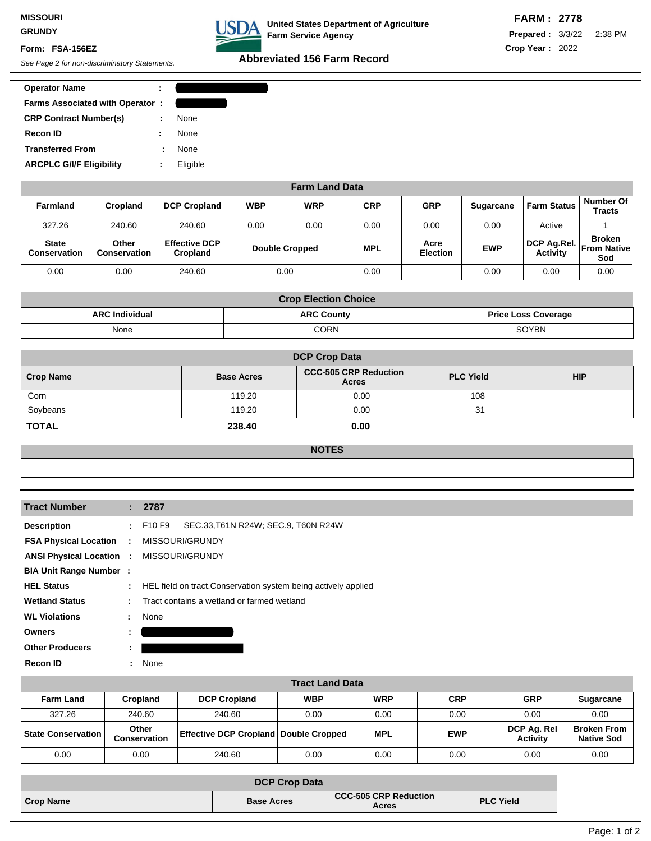## **MISSOURI GRUNDY**

## **Form: FSA-156EZ**

| <b>Operator Name</b>                   |   |          |
|----------------------------------------|---|----------|
| <b>Farms Associated with Operator:</b> |   |          |
| <b>CRP Contract Number(s)</b>          | ÷ | None     |
| <b>Recon ID</b>                        |   | None     |
| <b>Transferred From</b>                |   | None     |
| <b>ARCPLC G/I/F Eligibility</b>        | ÷ | Eligible |
|                                        |   |          |

|  | USDA United States Department of Agriculture<br>Farm Service Agency |
|--|---------------------------------------------------------------------|
|--|---------------------------------------------------------------------|

**Abbreviated 156 Farm Record**<br>See Page 2 for non-discriminatory Statements.

| <b>Operator Name</b>                   |             |
|----------------------------------------|-------------|
| <b>Farms Associated with Operator:</b> |             |
| <b>CRP Contract Number(s)</b>          | <b>None</b> |
| <b>Recon ID</b>                        | <b>None</b> |
| <b>Transferred From</b>                | <b>None</b> |
| <b>ARCPLC G/I/F Eligibility</b>        | Eligible    |
|                                        |             |

|                                     |                              |                                  |            | <b>Farm Land Data</b> |            |                         |                  |                                |                                            |
|-------------------------------------|------------------------------|----------------------------------|------------|-----------------------|------------|-------------------------|------------------|--------------------------------|--------------------------------------------|
| <b>Farmland</b>                     | Cropland                     | <b>DCP Cropland</b>              | <b>WBP</b> | <b>WRP</b>            | <b>CRP</b> | <b>GRP</b>              | <b>Sugarcane</b> | <b>Farm Status</b>             | <b>Number Of</b><br><b>Tracts</b>          |
| 327.26                              | 240.60                       | 240.60                           | 0.00       | 0.00                  | 0.00       | 0.00                    | 0.00             | Active                         |                                            |
| <b>State</b><br><b>Conservation</b> | Other<br><b>Conservation</b> | <b>Effective DCP</b><br>Cropland |            | <b>Double Cropped</b> | <b>MPL</b> | Acre<br><b>Election</b> | <b>EWP</b>       | DCP Ag.Rel.<br><b>Activity</b> | <b>Broken</b><br><b>From Native</b><br>Sod |
| 0.00                                | 0.00                         | 240.60                           |            | 0.00                  | 0.00       |                         | 0.00             | 0.00                           | 0.00                                       |

| <b>Crop Election Choice</b> |                   |                            |  |  |  |
|-----------------------------|-------------------|----------------------------|--|--|--|
| <b>ARC Individual</b>       | <b>ARC County</b> | <b>Price Loss Coverage</b> |  |  |  |
| None                        | <b>CORN</b>       | <b>SOYBN</b>               |  |  |  |

| <b>DCP Crop Data</b> |                   |                                              |                  |            |  |  |
|----------------------|-------------------|----------------------------------------------|------------------|------------|--|--|
| <b>Crop Name</b>     | <b>Base Acres</b> | <b>CCC-505 CRP Reduction</b><br><b>Acres</b> | <b>PLC Yield</b> | <b>HIP</b> |  |  |
| Corn                 | 119.20            | 0.00                                         | 108              |            |  |  |
| Soybeans             | 119.20            | 0.00                                         | -31              |            |  |  |
| <b>TOTAL</b>         | 238.40            | 0.00                                         |                  |            |  |  |

## **NOTES**

| <b>Tract Number</b>             |              | : 2787                                                         |
|---------------------------------|--------------|----------------------------------------------------------------|
| <b>Description</b>              |              | SEC.33, T61N R24W; SEC.9, T60N R24W<br>$:$ F10 F9              |
| <b>FSA Physical Location</b>    | $\mathbf{r}$ | MISSOURI/GRUNDY                                                |
| <b>ANSI Physical Location :</b> |              | MISSOURI/GRUNDY                                                |
| <b>BIA Unit Range Number:</b>   |              |                                                                |
| <b>HEL Status</b>               | ÷            | HEL field on tract. Conservation system being actively applied |
| <b>Wetland Status</b>           | ÷            | Tract contains a wetland or farmed wetland                     |
| <b>WL Violations</b>            | ÷.           | None                                                           |
| <b>Owners</b>                   | ÷            |                                                                |
| <b>Other Producers</b>          | ÷.           |                                                                |
| <b>Recon ID</b>                 | ÷.           | None                                                           |
|                                 |              |                                                                |

|                    |                       |                                                  | <b>Tract Land Data</b> |            |            |                                |                                         |
|--------------------|-----------------------|--------------------------------------------------|------------------------|------------|------------|--------------------------------|-----------------------------------------|
| <b>Farm Land</b>   | <b>Cropland</b>       | <b>DCP Cropland</b>                              | <b>WBP</b>             | <b>WRP</b> | <b>CRP</b> | <b>GRP</b>                     | <b>Sugarcane</b>                        |
| 327.26             | 240.60                | 240.60                                           | 0.00                   | 0.00       | 0.00       | 0.00                           | 0.00                                    |
| State Conservation | Other<br>Conservation | <b>Effective DCP Cropland   Double Cropped  </b> |                        | <b>MPL</b> | <b>EWP</b> | DCP Ag. Rel<br><b>Activity</b> | <b>Broken From</b><br><b>Native Sod</b> |
| 0.00               | 0.00                  | 240.60                                           | $0.00\,$               | 0.00       | 0.00       | 0.00                           | 0.00                                    |

|                  | <b>DCP Crop Data</b> |                                       |                  |
|------------------|----------------------|---------------------------------------|------------------|
| <b>Crop Name</b> | <b>Base Acres</b>    | <b>CCC-505 CRP Reduction</b><br>Acres | <b>PLC Yield</b> |